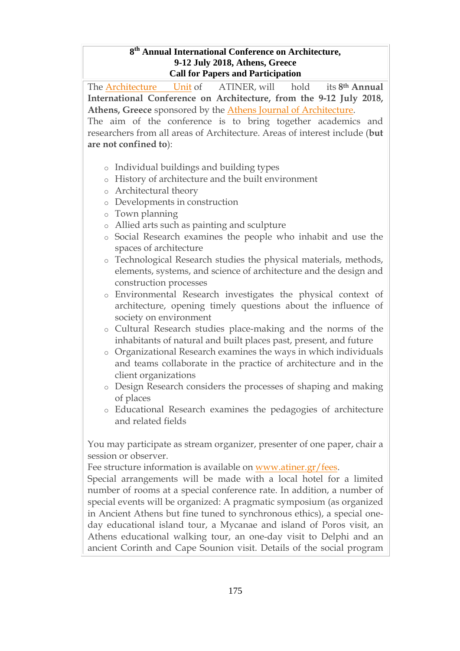#### **8 th Annual International Conference on Architecture, 9-12 July 2018, Athens, Greece Call for Papers and Participation**

The [Architecture](http://www.atiner.gr/docs/ARCHITECTURE_UNIT.htm) Unit of ATINER, will hold its **8th Annual International Conference on Architecture, from the 9-12 July 2018, Athens, Greece** sponsored by the Athens Journal of [Architecture.](https://www.athensjournals.gr/aja)

The aim of the conference is to bring together academics and researchers from all areas of Architecture. Areas of interest include (**but are not confined to**):

- o Individual buildings and building types
- o History of architecture and the built environment
- o Architectural theory
- o Developments in construction
- o Town planning
- o Allied arts such as painting and sculpture
- o Social Research examines the people who inhabit and use the spaces of architecture
- o Technological Research studies the physical materials, methods, elements, systems, and science of architecture and the design and construction processes
- o Environmental Research investigates the physical context of architecture, opening timely questions about the influence of society on environment
- o Cultural Research studies place-making and the norms of the inhabitants of natural and built places past, present, and future
- o Organizational Research examines the ways in which individuals and teams collaborate in the practice of architecture and in the client organizations
- o Design Research considers the processes of shaping and making of places
- o Educational Research examines the pedagogies of architecture and related fields

You may participate as stream organizer, presenter of one paper, chair a session or observer.

Fee structure information is available on [www.atiner.gr/fees.](https://www.atiner.gr/2018fees)

Special arrangements will be made with a local hotel for a limited number of rooms at a special conference rate. In addition, a number of special events will be organized: A pragmatic symposium (as organized in Ancient Athens but fine tuned to synchronous ethics), a special oneday educational island tour, a Mycanae and island of Poros visit, an Athens educational walking tour, an one-day visit to Delphi and an ancient Corinth and Cape Sounion visit. Details of the social program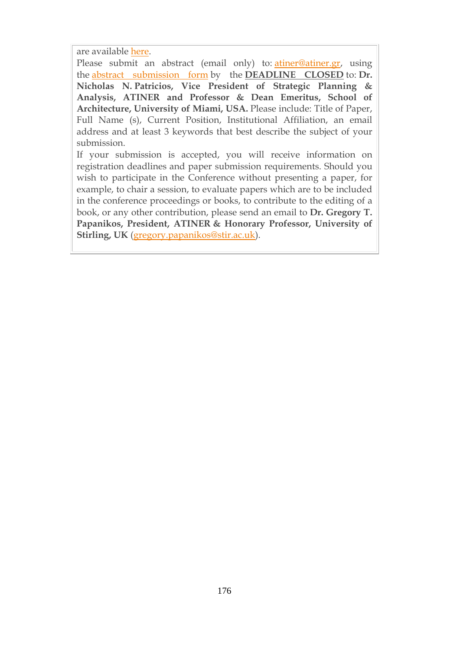are available [here.](http://www.atiner.gr/social-program)

Please submit an abstract (email only) to: [atiner@atiner.gr,](mailto:atiner@atiner.gr) using the abstract [submission](https://www.atiner.gr/2018/FORM-ARC.doc) form by the **DEADLINE CLOSED** to: **Dr. Nicholas N. Patricios, Vice President of Strategic Planning & Analysis, ATINER and Professor & Dean Emeritus, School of Architecture, University of Miami, USA.** Please include: Title of Paper, Full Name (s), Current Position, Institutional Affiliation, an email address and at least 3 keywords that best describe the subject of your submission.

If your submission is accepted, you will receive information on registration deadlines and paper submission requirements. Should you wish to participate in the Conference without presenting a paper, for example, to chair a session, to evaluate papers which are to be included in the conference proceedings or books, to contribute to the editing of a book, or any other contribution, please send an email to **Dr. Gregory T. Papanikos, President, ATINER & Honorary Professor, University of Stirling, UK** [\(gregory.papanikos@stir.ac.uk\)](mailto:gregory.papanikos@stir.ac.uk).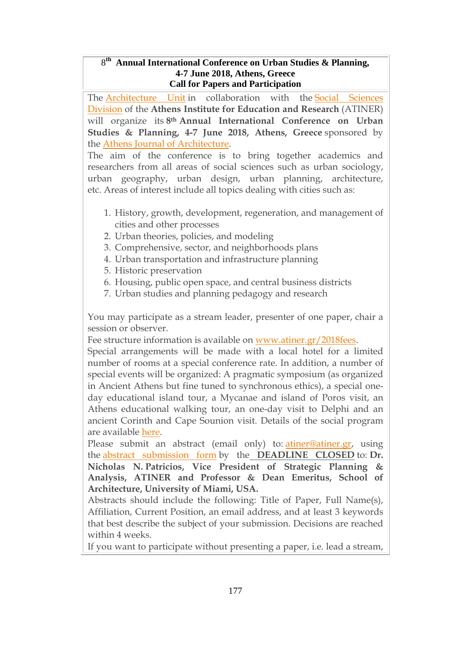### 8 **th Annual International Conference on Urban Studies & Planning, 4-7 June 2018, Athens, Greece Call for Papers and Participation**

The [Architecture](http://www.atiner.gr/docs/ARCHITECTURE_UNIT.htm) Unit in collaboration with the Social [Sciences](http://www.atiner.gr/SSRD.htm) [Division](http://www.atiner.gr/SSRD.htm) of the **Athens Institute for Education and Research** (ATINER) will organize its **8th Annual International Conference on Urban Studies & Planning, 4-7 June 2018, Athens, Greece** sponsored by the Athens Journal of [Architecture.](http://www.athensjournals.gr/aja)

The aim of the conference is to bring together academics and researchers from all areas of social sciences such as urban sociology, urban geography, urban design, urban planning, architecture, etc. Areas of interest include all topics dealing with cities such as:

- 1. History, growth, development, regeneration, and management of cities and other processes
- 2. Urban theories, policies, and modeling
- 3. Comprehensive, sector, and neighborhoods plans
- 4. Urban transportation and infrastructure planning
- 5. Historic preservation
- 6. Housing, public open space, and central business districts
- 7. Urban studies and planning pedagogy and research

You may participate as a stream leader, presenter of one paper, chair a session or observer.

Fee structure information is available on [www.atiner.gr/2018fees.](https://www.atiner.gr/2018fees)

Special arrangements will be made with a local hotel for a limited number of rooms at a special conference rate. In addition, a number of special events will be organized: A pragmatic symposium (as organized in Ancient Athens but fine tuned to synchronous ethics), a special oneday educational island tour, a Mycanae and island of Poros visit, an Athens educational walking tour, an one-day visit to Delphi and an ancient Corinth and Cape Sounion visit. Details of the social program are available [here.](http://www.atiner.gr/social-program)

Please submit an abstract (email only) to: [atiner@atiner.gr,](mailto:atiner@atiner.gr) using the abstract [submission](https://www.atiner.gr/2018/FORM-PLA.doc) form by the **DEADLINE CLOSED** to: **Dr. Nicholas N. Patricios, Vice President of Strategic Planning & Analysis, ATINER and Professor & Dean Emeritus, School of Architecture, University of Miami, USA.**

Abstracts should include the following: Title of Paper, Full Name(s), Affiliation, Current Position, an email address, and at least 3 keywords that best describe the subject of your submission. Decisions are reached within 4 weeks.

If you want to participate without presenting a paper, i.e. lead a stream,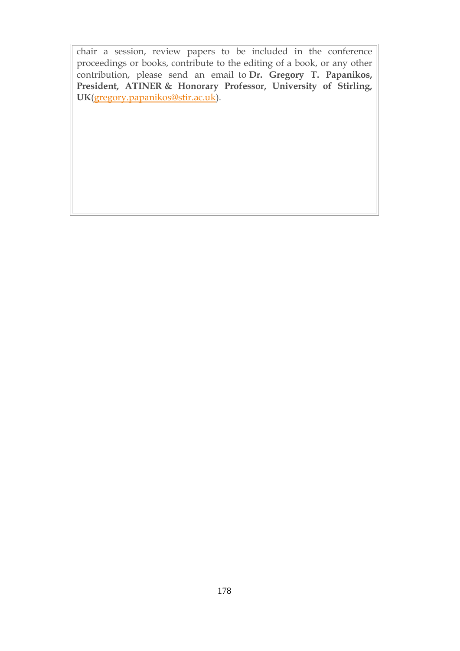chair a session, review papers to be included in the conference proceedings or books, contribute to the editing of a book, or any other contribution, please send an email to **Dr. Gregory T. Papanikos, President, ATINER & Honorary Professor, University of Stirling, UK**[\(gregory.papanikos@stir.ac.uk\)](mailto:gregory.papanikos@stir.ac.uk).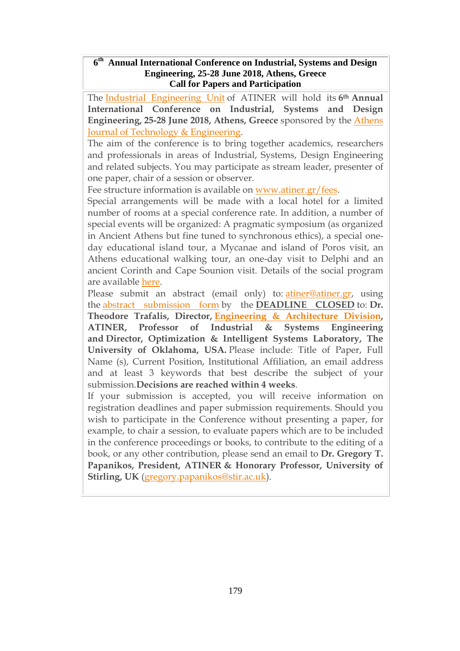#### **6 th Annual International Conference on Industrial, Systems and Design Engineering, 25-28 June 2018, Athens, Greece Call for Papers and Participation**

The Industrial [Engineering](http://www.atiner.gr/INDUSTRIAL-UNIT.htm) Unit of ATINER will hold its **6th Annual International Conference on Industrial, Systems and Design Engineering, 25-28 June 2018, Athens, Greece** sponsored by the [Athens](http://www.athensjournals.gr/ajte) Journal of Technology & [Engineering.](http://www.athensjournals.gr/ajte)

The aim of the conference is to bring together academics, researchers and professionals in areas of Industrial, Systems, Design Engineering and related subjects. You may participate as stream leader, presenter of one paper, chair of a session or observer.

Fee structure information is available on [www.atiner.gr/fees.](https://www.atiner.gr/2018fees)

Special arrangements will be made with a local hotel for a limited number of rooms at a special conference rate. In addition, a number of special events will be organized: A pragmatic symposium (as organized in Ancient Athens but fine tuned to synchronous ethics), a special oneday educational island tour, a Mycanae and island of Poros visit, an Athens educational walking tour, an one-day visit to Delphi and an ancient Corinth and Cape Sounion visit. Details of the social program are available [here.](http://www.atiner.gr/social-program)

Please submit an abstract (email only) to: [atiner@atiner.gr,](mailto:atiner@atiner.gr) using the abstract [submission](https://www.atiner.gr/2018/FORM-IND.doc) form by the **DEADLINE CLOSED** to: **Dr. Theodore Trafalis, Director, Engineering & [Architecture](http://www.atiner.gr/eard) Division, ATINER, Professor of Industrial & Systems Engineering and Director, Optimization & Intelligent Systems Laboratory, The University of Oklahoma, USA.** Please include: Title of Paper, Full Name (s), Current Position, Institutional Affiliation, an email address and at least 3 keywords that best describe the subject of your submission.**Decisions are reached within 4 weeks**.

If your submission is accepted, you will receive information on registration deadlines and paper submission requirements. Should you wish to participate in the Conference without presenting a paper, for example, to chair a session, to evaluate papers which are to be included in the conference proceedings or books, to contribute to the editing of a book, or any other contribution, please send an email to **Dr. Gregory T. Papanikos, President, ATINER & Honorary Professor, University of Stirling, UK** [\(gregory.papanikos@stir.ac.uk\)](mailto:gregory.papanikos@stir.ac.uk).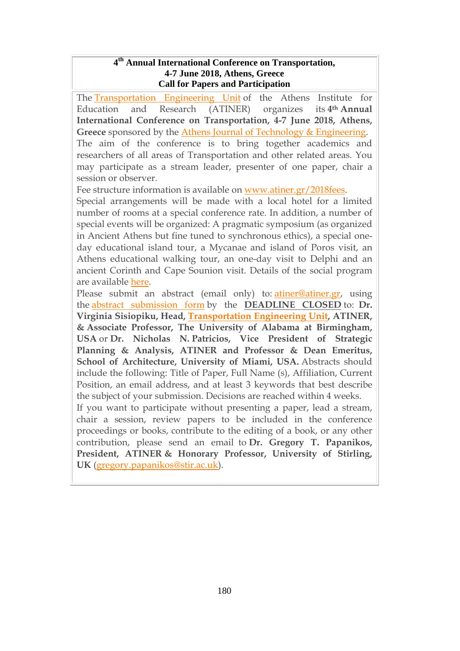#### **4 th Annual International Conference on Transportation, 4-7 June 2018, Athens, Greece Call for Papers and Participation**

The [Transportation](http://www.atiner.gr/TRANSPORTATION-UNIT.htm) Engineering Unit of the Athens Institute for Education and Research (ATINER) organizes its **4th Annual International Conference on Transportation, 4-7 June 2018, Athens, Greece** sponsored by the Athens Journal of Τechnology & [Engineering.](http://www.athensjournals.gr/ajte) The aim of the conference is to bring together academics and researchers of all areas of Transportation and other related areas. You may participate as a stream leader, presenter of one paper, chair a session or observer.

Fee structure information is available on [www.atiner.gr/2018fees.](https://www.atiner.gr/2018fees)

Special arrangements will be made with a local hotel for a limited number of rooms at a special conference rate. In addition, a number of special events will be organized: A pragmatic symposium (as organized in Ancient Athens but fine tuned to synchronous ethics), a special oneday educational island tour, a Mycanae and island of Poros visit, an Athens educational walking tour, an one-day visit to Delphi and an ancient Corinth and Cape Sounion visit. Details of the social program are available [here.](http://www.atiner.gr/social-program)

Please submit an abstract (email only) to: [atiner@atiner.gr,](mailto:atiner@atiner.gr) using the abstract [submission](https://www.atiner.gr/2018/FORM-TRA.doc) form by the **DEADLINE CLOSED** to: **Dr. Virginia Sisiopiku, Head, [Transportation](http://www.atiner.gr/TRANSPORTATION-UNIT.htm) Engineering Unit, ATINER, & Associate Professor, The University of Alabama at Birmingham, USA** or **Dr. Nicholas N. Patricios, Vice President of Strategic Planning & Analysis, ATINER and Professor & Dean Emeritus, School of Architecture, University of Miami, USA.** Abstracts should include the following: Title of Paper, Full Name (s), Affiliation, Current Position, an email address, and at least 3 keywords that best describe the subject of your submission. Decisions are reached within 4 weeks.

If you want to participate without presenting a paper, lead a stream, chair a session, review papers to be included in the conference proceedings or books, contribute to the editing of a book, or any other contribution, please send an email to **Dr. Gregory T. Papanikos, President, ATINER & Honorary Professor, University of Stirling, UK** [\(gregory.papanikos@stir.ac.uk\)](mailto:gregory.papanikos@stir.ac.uk).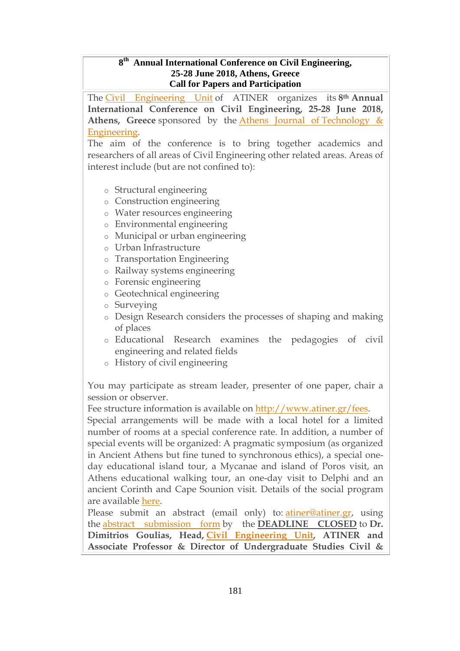#### **8 th Annual International Conference on Civil Engineering, 25-28 June 2018, Athens, Greece Call for Papers and Participation**

The Civil [Engineering](http://www.atiner.gr/CIVIL-UNIT.htm) Unit of ATINER organizes its **8th Annual International Conference on Civil Engineering, 25-28 June 2018, Athens, Greece** sponsored by the Athens Journal of [Technology](http://www.athensjournals.gr/ajte) & [Engineering.](http://www.athensjournals.gr/ajte)

The aim of the conference is to bring together academics and researchers of all areas of Civil Engineering other related areas. Areas of interest include (but are not confined to):

- o Structural engineering
- o Construction engineering
- o Water resources engineering
- o Environmental engineering
- o Municipal or urban engineering
- o Urban Infrastructure
- o Transportation Engineering
- o Railway systems engineering
- o Forensic engineering
- o Geotechnical engineering
- o Surveying
- o Design Research considers the processes of shaping and making of places
- o Educational Research examines the pedagogies of civil engineering and related fields
- o History of civil engineering

You may participate as stream leader, presenter of one paper, chair a session or observer.

Fee structure information is available on [http://www.atiner.gr/fees.](https://www.atiner.gr/2018fees)

Special arrangements will be made with a local hotel for a limited number of rooms at a special conference rate. In addition, a number of special events will be organized: A pragmatic symposium (as organized in Ancient Athens but fine tuned to synchronous ethics), a special oneday educational island tour, a Mycanae and island of Poros visit, an Athens educational walking tour, an one-day visit to Delphi and an ancient Corinth and Cape Sounion visit. Details of the social program are available [here.](http://www.atiner.gr/social-program)

Please submit an abstract (email only) to: [atiner@atiner.gr,](mailto:atiner@atiner.gr) using the abstract [submission](https://www.atiner.gr/2018/FORM-CIV.doc) form by the **DEADLINE CLOSED** to **Dr. Dimitrios Goulias, Head, Civil [Engineering](https://www.atiner.gr/civil-unit) Unit, ATINER and Associate Professor & Director of Undergraduate Studies Civil &**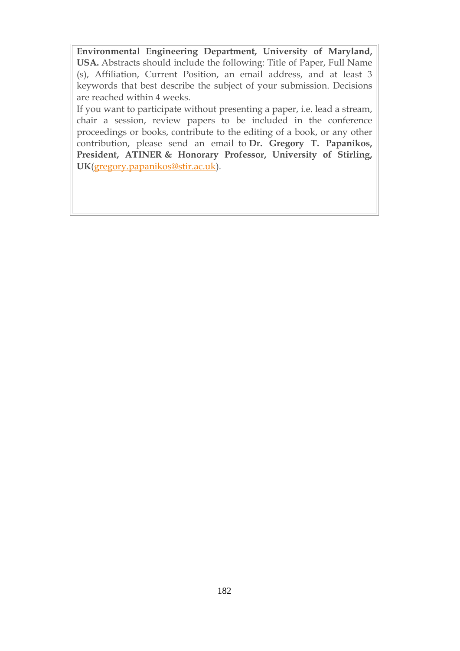**Environmental Engineering Department, University of Maryland, USA.** Abstracts should include the following: Title of Paper, Full Name (s), Affiliation, Current Position, an email address, and at least 3 keywords that best describe the subject of your submission. Decisions are reached within 4 weeks.

If you want to participate without presenting a paper, i.e. lead a stream, chair a session, review papers to be included in the conference proceedings or books, contribute to the editing of a book, or any other contribution, please send an email to **Dr. Gregory T. Papanikos, President, ATINER & Honorary Professor, University of Stirling, UK**[\(gregory.papanikos@stir.ac.uk\)](mailto:gregory.papanikos@stir.ac.uk).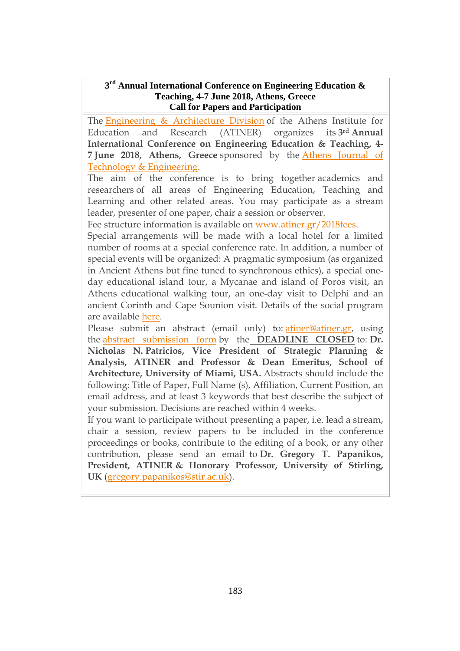#### **3 rd Annual International Conference on Engineering Education & Teaching, 4-7 June 2018, Athens, Greece Call for Papers and Participation**

The Engineering & [Architecture](http://www.atiner.gr/EARD.htm) Division of the Athens Institute for Education and Research (ATINER) organizes its **3rd Annual International Conference on Engineering Education & Teaching, 4- 7 June 2018, Athens, Greece** sponsored by the Athens [Journal](http://www.athensjournals.gr/ajte) of Τechnology & [Engineering.](http://www.athensjournals.gr/ajte)

The aim of the conference is to bring together academics and researchers of all areas of Engineering Education, Teaching and Learning and other related areas. You may participate as a stream leader, presenter of one paper, chair a session or observer.

Fee structure information is available on [www.atiner.gr/2018fees.](https://www.atiner.gr/engedu/www.atiner.gr/2018fees)

Special arrangements will be made with a local hotel for a limited number of rooms at a special conference rate. In addition, a number of special events will be organized: A pragmatic symposium (as organized in Ancient Athens but fine tuned to synchronous ethics), a special oneday educational island tour, a Mycanae and island of Poros visit, an Athens educational walking tour, an one-day visit to Delphi and an ancient Corinth and Cape Sounion visit. Details of the social program are available [here.](http://www.atiner.gr/social-program)

Please submit an abstract (email only) to: [atiner@atiner.gr,](mailto:atiner@atiner.gr) using the abstract [submission](https://www.atiner.gr/2018/FORM-ENGEDU.doc) form by the **DEADLINE CLOSED** to: **Dr. Nicholas N. Patricios, Vice President of Strategic Planning & Analysis, ATINER and Professor & Dean Emeritus, School of Architecture, University of Miami, USA.** Abstracts should include the following: Title of Paper, Full Name (s), Affiliation, Current Position, an email address, and at least 3 keywords that best describe the subject of your submission. Decisions are reached within 4 weeks.

If you want to participate without presenting a paper, i.e. lead a stream, chair a session, review papers to be included in the conference proceedings or books, contribute to the editing of a book, or any other contribution, please send an email to **Dr. Gregory T. Papanikos, President, ATINER & Honorary Professor, University of Stirling, UK** [\(gregory.papanikos@stir.ac.uk\)](mailto:gregory.papanikos@stir.ac.uk).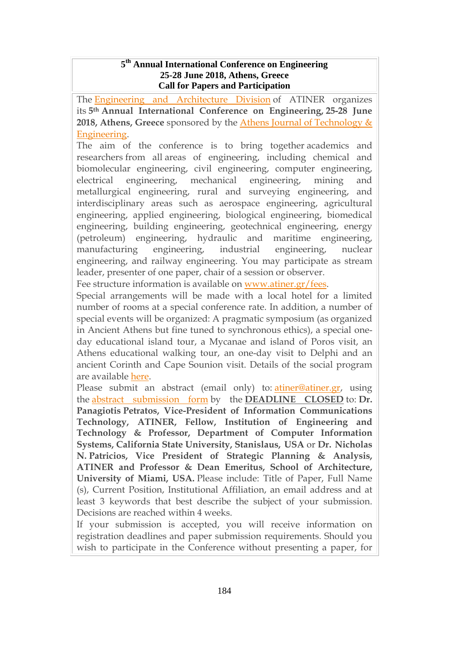#### **5 th Annual International Conference on Engineering 25-28 June 2018, Athens, Greece Call for Papers and Participation**

The Engineering and [Architecture](http://www.atiner.gr/EARD.htm) Division of ATINER organizes its **5th Annual International Conference on Engineering, 25-28 June 2018, Athens, Greece** sponsored by the Athens Journal of [Technology](http://www.athensjournals.gr/ajte) & [Engineering.](http://www.athensjournals.gr/ajte)

The aim of the conference is to bring together academics and researchers from all areas of engineering, including chemical and biomolecular engineering, civil engineering, computer engineering, electrical engineering, mechanical engineering, mining and metallurgical engineering, rural and surveying engineering, and interdisciplinary areas such as aerospace engineering, agricultural engineering, applied engineering, biological engineering, biomedical engineering, building engineering, geotechnical engineering, energy (petroleum) engineering, hydraulic and maritime engineering, manufacturing engineering, industrial engineering, nuclear engineering, and railway engineering. You may participate as stream leader, presenter of one paper, chair of a session or observer.

Fee structure information is available on [www.atiner.gr/fees.](https://www.atiner.gr/2018fees)

Special arrangements will be made with a local hotel for a limited number of rooms at a special conference rate. In addition, a number of special events will be organized: A pragmatic symposium (as organized in Ancient Athens but fine tuned to synchronous ethics), a special oneday educational island tour, a Mycanae and island of Poros visit, an Athens educational walking tour, an one-day visit to Delphi and an ancient Corinth and Cape Sounion visit. Details of the social program are available [here.](http://www.atiner.gr/social-program)

Please submit an abstract (email only) to: [atiner@atiner.gr,](mailto:atiner@atiner.gr) using the abstract [submission](https://www.atiner.gr/2018/FORM-ENG.doc) form by the **DEADLINE CLOSED** to: **Dr. Panagiotis Petratos, Vice-President of Information Communications Technology, ATINER, Fellow, Institution of Engineering and Technology & Professor, Department of Computer Information Systems, California State University, Stanislaus, USA** or **Dr. Nicholas N. Patricios, Vice President of Strategic Planning & Analysis, ATINER and Professor & Dean Emeritus, School of Architecture, University of Miami, USA.** Please include: Title of Paper, Full Name (s), Current Position, Institutional Affiliation, an email address and at least 3 keywords that best describe the subject of your submission. Decisions are reached within 4 weeks.

If your submission is accepted, you will receive information on registration deadlines and paper submission requirements. Should you wish to participate in the Conference without presenting a paper, for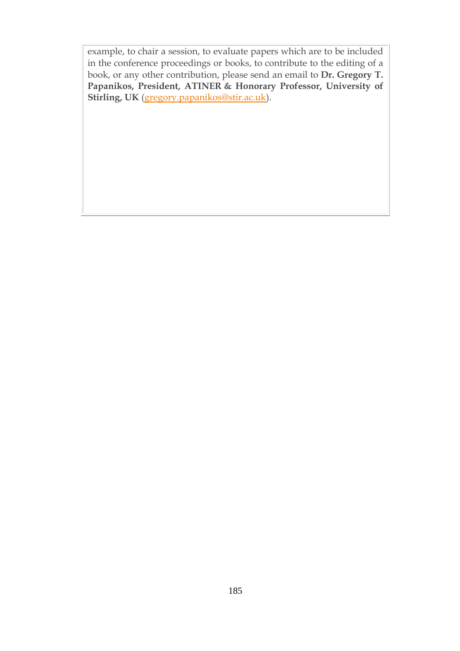example, to chair a session, to evaluate papers which are to be included in the conference proceedings or books, to contribute to the editing of a book, or any other contribution, please send an email to **Dr. Gregory T. Papanikos, President, ATINER & Honorary Professor, University of Stirling, UK** [\(gregory.papanikos@stir.ac.uk\)](mailto:gregory.papanikos@stir.ac.uk).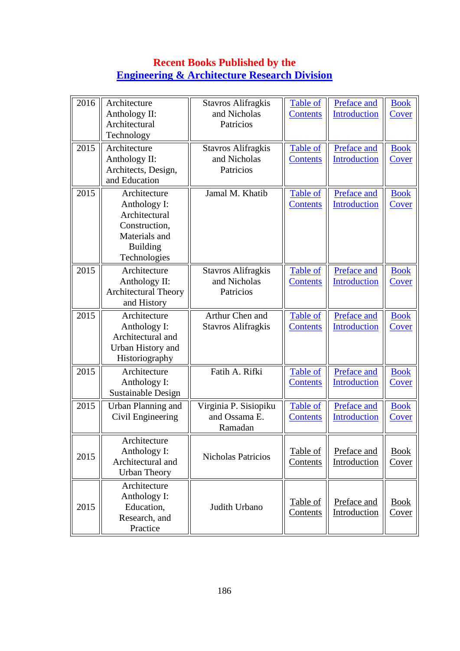## **Recent Books Published by the [Engineering & Architecture Research Division](http://www.atiner.gr/EARD.htm)**

| 2016                                                                          | Architecture<br>Anthology II:<br>Architectural<br>Technology                                                       | <b>Stavros Alifragkis</b><br>and Nicholas<br>Patricios | <b>Table of</b><br><b>Contents</b> | Preface and<br>Introduction        | <b>Book</b><br>Cover        |
|-------------------------------------------------------------------------------|--------------------------------------------------------------------------------------------------------------------|--------------------------------------------------------|------------------------------------|------------------------------------|-----------------------------|
| 2015<br>Architecture<br>Anthology II:<br>Architects, Design,<br>and Education |                                                                                                                    | <b>Stavros Alifragkis</b><br>and Nicholas<br>Patricios | Table of<br><b>Contents</b>        | Preface and<br>Introduction        | <b>Book</b><br>Cover        |
| 2015                                                                          | Architecture<br>Anthology I:<br>Architectural<br>Construction,<br>Materials and<br><b>Building</b><br>Technologies | Jamal M. Khatib                                        | <b>Table of</b><br><b>Contents</b> | Preface and<br>Introduction        | <b>Book</b><br><b>Cover</b> |
| 2015                                                                          | Architecture<br>Anthology II:<br><b>Architectural Theory</b><br>and History                                        | <b>Stavros Alifragkis</b><br>and Nicholas<br>Patricios | Table of<br><b>Contents</b>        | Preface and<br>Introduction        | <b>Book</b><br>Cover        |
| 2015                                                                          | Architecture<br>Anthology I:<br>Architectural and<br>Urban History and<br>Historiography                           | Arthur Chen and<br><b>Stavros Alifragkis</b>           | Table of<br><b>Contents</b>        | Preface and<br><b>Introduction</b> | <b>Book</b><br>Cover        |
| 2015                                                                          | Architecture<br>Anthology I:<br>Sustainable Design                                                                 | Fatih A. Rifki                                         | Table of<br><b>Contents</b>        | Preface and<br><b>Introduction</b> | <b>Book</b><br>Cover        |
| 2015                                                                          | Urban Planning and<br>Civil Engineering                                                                            | Virginia P. Sisiopiku<br>and Ossama E.<br>Ramadan      | Table of<br><b>Contents</b>        | Preface and<br>Introduction        | <b>Book</b><br>Cover        |
| 2015                                                                          | Architecture<br>Anthology I:<br>Architectural and<br><b>Urban Theory</b>                                           | Nicholas Patricios                                     | Table of<br>Contents               | Preface and<br>Introduction        | <b>Book</b><br><u>Cover</u> |
| 2015                                                                          | Architecture<br>Anthology I:<br>Education,<br>Research, and<br>Practice                                            | Judith Urbano                                          | Table of<br>Contents               | Preface and<br>Introduction        | <b>Book</b><br><b>Cover</b> |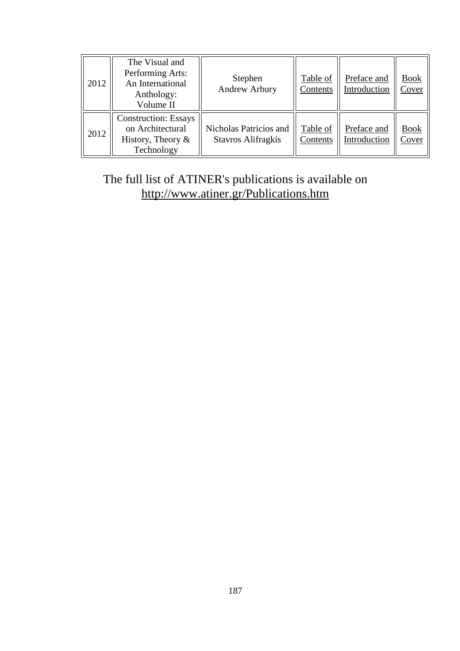| 2012 | The Visual and<br>Performing Arts:<br>An International<br>Anthology:<br>Volume II     | Stephen<br>Andrew Arbury                            | Table of<br>Contents | Preface and<br>Introduction | <b>Book</b><br>Cover |
|------|---------------------------------------------------------------------------------------|-----------------------------------------------------|----------------------|-----------------------------|----------------------|
| 2012 | <b>Construction: Essays</b><br>on Architectural<br>History, Theory $\&$<br>Technology | Nicholas Patricios and<br><b>Stavros Alifragkis</b> | Table of<br>Contents | Preface and<br>Introduction | <b>Book</b><br>Cover |

# The full list of ATINER's publications is available on <http://www.atiner.gr/Publications.htm>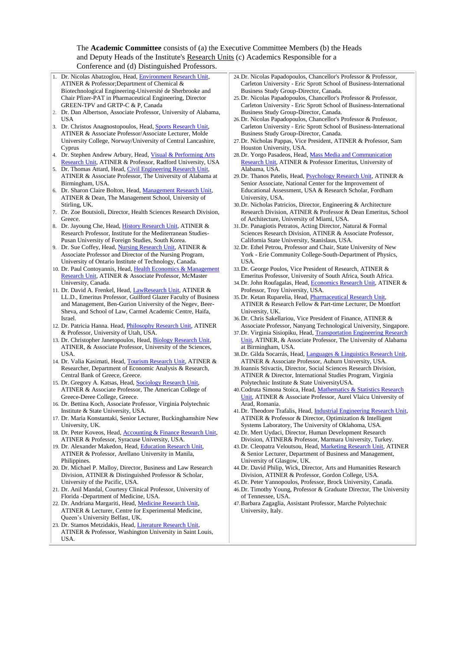#### The **Academic Committee** consists of (a) the Executive Committee Members (b) the Heads and Deputy Heads of the Institute's [Research Units](http://www.atiner.gr/RESEARCH-DIVISIONS.htm) (c) Academics Responsible for a Conference and (d) Distinguished Professors.

| $\epsilon$ conference and $\alpha$ <i>D</i> noting anone 1101000010.                                                         |                                                                                                                                             |
|------------------------------------------------------------------------------------------------------------------------------|---------------------------------------------------------------------------------------------------------------------------------------------|
| 1. Dr. Nicolas Abatzoglou, Head, Environment Research Unit,                                                                  | 24. Dr. Nicolas Papadopoulos, Chancellor's Professor & Professor,                                                                           |
| ATINER & Professor; Department of Chemical &                                                                                 | Carleton University - Eric Sprott School of Business-International                                                                          |
| Biotechnological Engineering-Université de Sherbrooke and                                                                    | Business Study Group-Director, Canada.                                                                                                      |
| Chair Pfizer-PAT in Pharmaceutical Engineering, Director<br>GREEN-TPV and GRTP-C & P, Canada                                 | 25. Dr. Nicolas Papadopoulos, Chancellor's Professor & Professor,<br>Carleton University - Eric Sprott School of Business-International     |
| 2. Dr. Dan Albertson, Associate Professor, University of Alabama,                                                            | Business Study Group-Director, Canada.                                                                                                      |
| USA                                                                                                                          | 26. Dr. Nicolas Papadopoulos, Chancellor's Professor & Professor,                                                                           |
| 3. Dr. Christos Anagnostopoulos, Head, Sports Research Unit,                                                                 | Carleton University - Eric Sprott School of Business-International                                                                          |
| ATINER & Associate Professor/Associate Lecturer, Molde                                                                       | Business Study Group-Director, Canada.                                                                                                      |
| University College, Norway/University of Central Lancashire,                                                                 | 27. Dr. Nicholas Pappas, Vice President, ATINER & Professor, Sam                                                                            |
| Cyprus                                                                                                                       | Houston University, USA.                                                                                                                    |
| 4. Dr. Stephen Andrew Arbury, Head, Visual & Performing Arts                                                                 | 28. Dr. Yorgo Pasadeos, Head, Mass Media and Communication                                                                                  |
| Research Unit, ATINER & Professor, Radford University, USA                                                                   | Research Unit, ATINER & Professor Emeritus, University of                                                                                   |
| 5. Dr. Thomas Attard, Head, Civil Engineering Research Unit,                                                                 | Alabama, USA.                                                                                                                               |
| ATINER & Associate Professor, The University of Alabama at                                                                   | 29. Dr. Thanos Patelis, Head, <i>Psychology Research Unit</i> , ATINER &                                                                    |
| Birmingham, USA.<br>6. Dr. Sharon Claire Bolton, Head, Management Research Unit,                                             | Senior Associate, National Center for the Improvement of<br>Educational Assessment, USA & Research Scholar, Fordham                         |
| ATINER & Dean, The Management School, University of                                                                          | University, USA.                                                                                                                            |
| Stirling, UK.                                                                                                                | 30. Dr. Nicholas Patricios, Director, Engineering & Architecture                                                                            |
| 7. Dr. Zoe Boutsioli, Director, Health Sciences Research Division,                                                           | Research Division, ATINER & Professor & Dean Emeritus, School                                                                               |
| Greece.                                                                                                                      | of Architecture, University of Miami, USA.                                                                                                  |
| 8. Dr. Jayoung Che, Head, <i>History Research Unit</i> , ATINER &                                                            | 31. Dr. Panagiotis Petratos, Acting Director, Natural & Formal                                                                              |
| Research Professor, Institute for the Mediterranean Studies-                                                                 | Sciences Research Division, ATINER & Associate Professor,                                                                                   |
| Pusan University of Foreign Studies, South Korea.                                                                            | California State University, Stanislaus, USA.                                                                                               |
| 9. Dr. Sue Coffey, Head, Nursing Research Unit, ATINER &                                                                     | 32. Dr. Ethel Petrou, Professor and Chair, State University of New                                                                          |
| Associate Professor and Director of the Nursing Program,                                                                     | York - Erie Community College-South-Department of Physics,                                                                                  |
| University of Ontario Institute of Technology, Canada.<br>10. Dr. Paul Contoyannis, Head, Health Economics & Management      | USA.<br>33. Dr. George Poulos, Vice President of Research, ATINER &                                                                         |
| Research Unit, ATINER & Associate Professor, McMaster                                                                        | Emeritus Professor, University of South Africa, South Africa.                                                                               |
| University, Canada.                                                                                                          | 34. Dr. John Roufagalas, Head, Economics Research Unit, ATINER &                                                                            |
| 11. Dr. David A. Frenkel, Head, LawResearch Unit, ATINER &                                                                   | Professor, Troy University, USA.                                                                                                            |
| LL.D., Emeritus Professor, Guilford Glazer Faculty of Business                                                               | 35. Dr. Ketan Ruparelia, Head, Pharmaceutical Research Unit,                                                                                |
| and Management, Ben-Gurion University of the Negev, Beer-                                                                    | ATINER & Research Fellow & Part-time Lecturer, De Montfort                                                                                  |
| Sheva, and School of Law, Carmel Academic Centre, Haifa,                                                                     | University, UK.                                                                                                                             |
| Israel.                                                                                                                      | 36. Dr. Chris Sakellariou, Vice President of Finance, ATINER &                                                                              |
| 12. Dr. Patricia Hanna. Head, <i>Philosophy Research Unit</i> , ATINER                                                       | Associate Professor, Nanyang Technological University, Singapore.                                                                           |
| & Professor, University of Utah, USA.                                                                                        | 37. Dr. Virginia Sisiopiku, Head, Transportation Engineering Research                                                                       |
| 13. Dr. Christopher Janetopoulos, Head, Biology Research Unit,<br>ATINER, & Associate Professor, University of the Sciences, | Unit, ATINER, & Associate Professor, The University of Alabama<br>at Birmingham, USA.                                                       |
| USA.                                                                                                                         | 38. Dr. Gilda Socarrás, Head, Languages & Linguistics Research Unit,                                                                        |
| 14. Dr. Valia Kasimati, Head, Tourism Research Unit, ATINER &                                                                | ATINER & Associate Professor, Auburn University, USA.                                                                                       |
| Researcher, Department of Economic Analysis & Research,                                                                      | 39. Ioannis Stivactis, Director, Social Sciences Research Division,                                                                         |
| Central Bank of Greece, Greece.                                                                                              | ATINER & Director, International Studies Program, Virginia                                                                                  |
| 15. Dr. Gregory A. Katsas, Head, Sociology Research Unit,                                                                    | Polytechnic Institute & State University USA.                                                                                               |
| ATINER & Associate Professor, The American College of                                                                        | 40. Codruta Simona Stoica, Head, Mathematics & Statistics Research                                                                          |
| Greece-Deree College, Greece.                                                                                                | Unit, ATINER & Associate Professor, Aurel Vlaicu University of                                                                              |
| 16. Dr. Bettina Koch, Associate Professor, Virginia Polytechnic                                                              | Arad, Romania.                                                                                                                              |
| Institute & State University, USA.<br>17. Dr. Maria Konstantaki, Senior Lecturer, Buckinghamshire New                        | 41. Dr. Theodore Trafalis, Head, <i>Industrial Engineering Research Unit</i> ,<br>ATINER & Professor & Director, Optimization & Intelligent |
| University, UK.                                                                                                              | Systems Laboratory, The University of Oklahoma, USA.                                                                                        |
| 18. Dr. Peter Koveos, Head, <b>Accounting &amp; Finance Research Unit</b> ,                                                  | 42. Dr. Mert Uydaci, Director, Human Development Research                                                                                   |
| ATINER & Professor, Syracuse University, USA.                                                                                | Division, ATINER& Professor, Marmara University, Turkey.                                                                                    |
| 19. Dr. Alexander Makedon, Head, Education Research Unit,                                                                    | 43. Dr. Cleopatra Veloutsou, Head, Marketing Research Unit, ATINER                                                                          |
| ATINER & Professor, Arellano University in Manila,                                                                           | & Senior Lecturer, Department of Business and Management,                                                                                   |
| Philippines.                                                                                                                 | University of Glasgow, UK.                                                                                                                  |
| 20. Dr. Michael P. Malloy, Director, Business and Law Research                                                               | 44. Dr. David Philip, Wick, Director, Arts and Humanities Research                                                                          |
| Division, ATINER & Distinguished Professor & Scholar,                                                                        | Division, ATINER & Professor, Gordon College, USA.                                                                                          |
| University of the Pacific, USA.                                                                                              | 45. Dr. Peter Yannopoulos, Professor, Brock University, Canada.                                                                             |
| 21. Dr. Anil Mandal, Courtesy Clinical Professor, University of<br>Florida -Department of Medicine, USA.                     | 46. Dr. Timothy Young, Professor & Graduate Director, The University<br>of Tennessee, USA.                                                  |
| 22. Dr. Andriana Margariti, Head, Medicine Research Unit,                                                                    | 47. Barbara Zagaglia, Assistant Professor, Marche Polytechnic                                                                               |
| ATINER & Lecturer, Centre for Experimental Medicine,                                                                         | University, Italy.                                                                                                                          |
| Queen's University Belfast, UK.                                                                                              |                                                                                                                                             |
| 23 Dr. Stamos Metzidakis, Head, Literature Research Unit                                                                     |                                                                                                                                             |

Stamos Metzidakis, Head, Literature Re ATINER & Professor, Washington University in Saint Louis, USA.